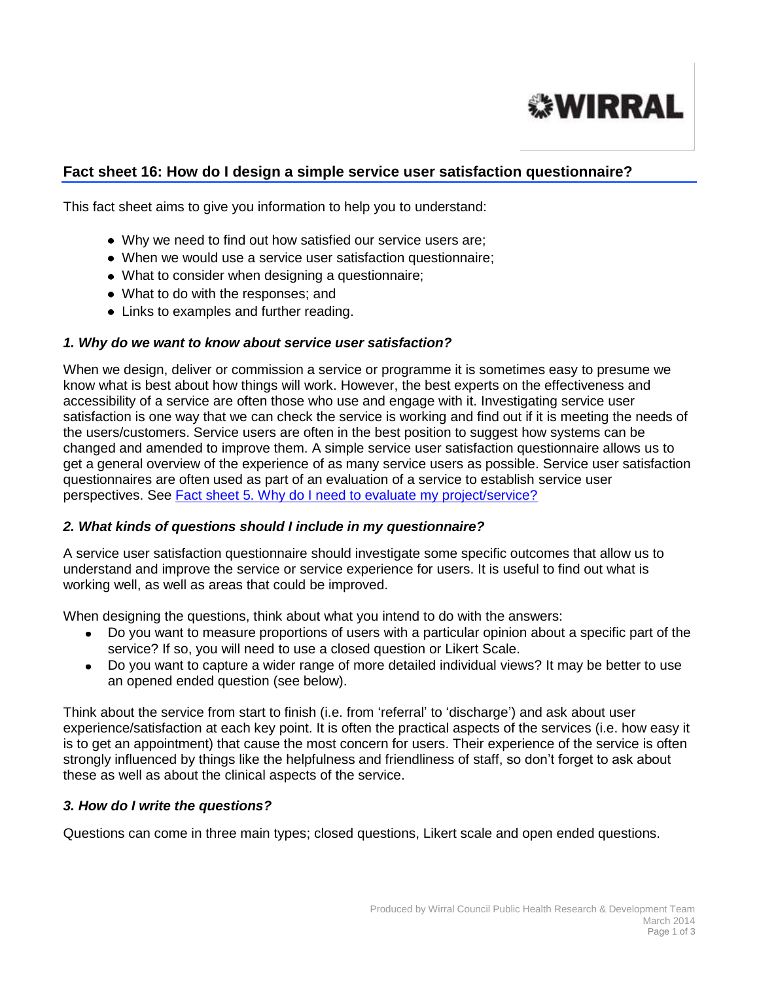

# **Fact sheet 16: How do I design a simple service user satisfaction questionnaire?**

This fact sheet aims to give you information to help you to understand:

- Why we need to find out how satisfied our service users are;
- When we would use a service user satisfaction questionnaire;
- What to consider when designing a questionnaire;
- What to do with the responses; and
- Links to examples and further reading.

#### *1. Why do we want to know about service user satisfaction?*

When we design, deliver or commission a service or programme it is sometimes easy to presume we know what is best about how things will work. However, the best experts on the effectiveness and accessibility of a service are often those who use and engage with it. Investigating service user satisfaction is one way that we can check the service is working and find out if it is meeting the needs of the users/customers. Service users are often in the best position to suggest how systems can be changed and amended to improve them. A simple service user satisfaction questionnaire allows us to get a general overview of the experience of as many service users as possible. Service user satisfaction questionnaires are often used as part of an evaluation of a service to establish service user perspectives. See [Fact sheet 5. Why do I need to evaluate my project/service?](http://info.wirral.nhs.uk/intelligencehub/howtofact-sheetsonevidence&research.html)

### *2. What kinds of questions should I include in my questionnaire?*

A service user satisfaction questionnaire should investigate some specific outcomes that allow us to understand and improve the service or service experience for users. It is useful to find out what is working well, as well as areas that could be improved.

When designing the questions, think about what you intend to do with the answers:

- Do you want to measure proportions of users with a particular opinion about a specific part of the service? If so, you will need to use a closed question or Likert Scale.
- Do you want to capture a wider range of more detailed individual views? It may be better to use  $\bullet$ an opened ended question (see below).

Think about the service from start to finish (i.e. from 'referral' to 'discharge') and ask about user experience/satisfaction at each key point. It is often the practical aspects of the services (i.e. how easy it is to get an appointment) that cause the most concern for users. Their experience of the service is often strongly influenced by things like the helpfulness and friendliness of staff, so don't forget to ask about these as well as about the clinical aspects of the service.

### *3. How do I write the questions?*

Questions can come in three main types; closed questions, Likert scale and open ended questions.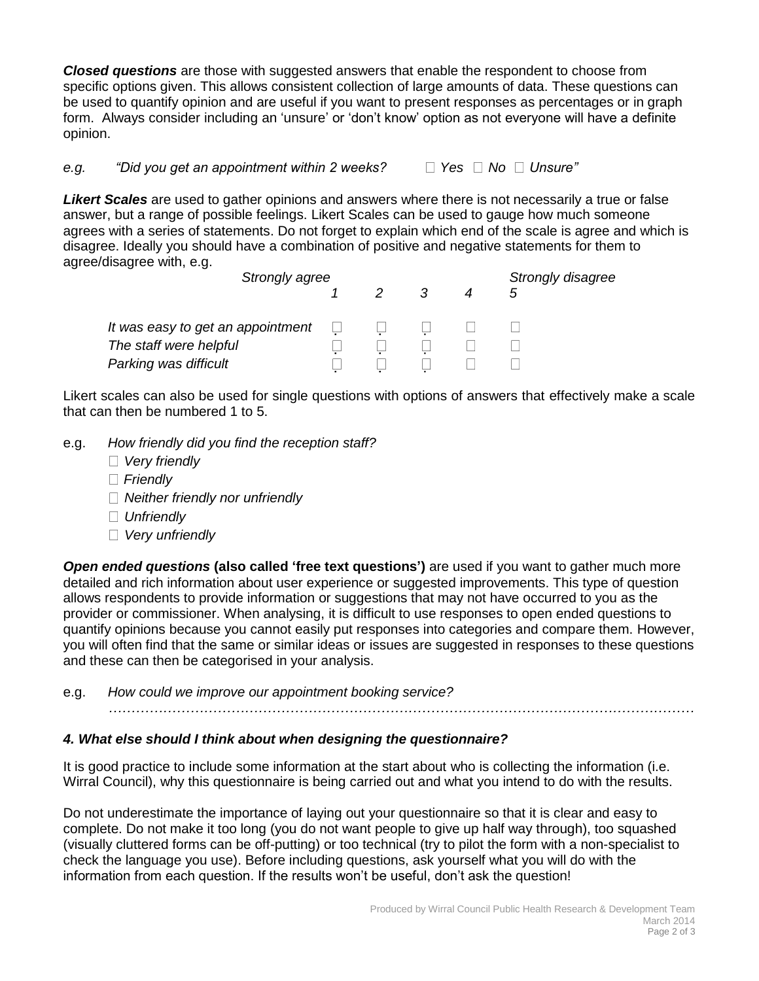*Closed questions* are those with suggested answers that enable the respondent to choose from specific options given. This allows consistent collection of large amounts of data. These questions can be used to quantify opinion and are useful if you want to present responses as percentages or in graph form. Always consider including an 'unsure' or 'don't know' option as not everyone will have a definite opinion.

*e.g. "Did you get an appointment within 2 weeks?* □ Yes □ No □ Unsure"

*Likert Scales* are used to gather opinions and answers where there is not necessarily a true or false answer, but a range of possible feelings. Likert Scales can be used to gauge how much someone agrees with a series of statements. Do not forget to explain which end of the scale is agree and which is disagree. Ideally you should have a combination of positive and negative statements for them to agree/disagree with, e.g.

| Strongly agree                    |  |  |  |  | Strongly disagree |
|-----------------------------------|--|--|--|--|-------------------|
|                                   |  |  |  |  |                   |
| It was easy to get an appointment |  |  |  |  |                   |
| The staff were helpful            |  |  |  |  |                   |
| Parking was difficult             |  |  |  |  |                   |

Likert scales can also be used for single questions with options of answers that effectively make a scale that can then be numbered 1 to 5.

- e.g. *How friendly did you find the reception staff?*
	- *Very friendly*
	- *Friendly*
	- *Neither friendly nor unfriendly*
	- *Unfriendly*
	- *Very unfriendly*

*Open ended questions* **(also called 'free text questions')** are used if you want to gather much more detailed and rich information about user experience or suggested improvements. This type of question allows respondents to provide information or suggestions that may not have occurred to you as the provider or commissioner. When analysing, it is difficult to use responses to open ended questions to quantify opinions because you cannot easily put responses into categories and compare them. However, you will often find that the same or similar ideas or issues are suggested in responses to these questions and these can then be categorised in your analysis.

e.g. *How could we improve our appointment booking service?* 

## *4. What else should I think about when designing the questionnaire?*

*…………………………………………………………………………………………………………………*

It is good practice to include some information at the start about who is collecting the information (i.e. Wirral Council), why this questionnaire is being carried out and what you intend to do with the results.

Do not underestimate the importance of laying out your questionnaire so that it is clear and easy to complete. Do not make it too long (you do not want people to give up half way through), too squashed (visually cluttered forms can be off-putting) or too technical (try to pilot the form with a non-specialist to check the language you use). Before including questions, ask yourself what you will do with the information from each question. If the results won't be useful, don't ask the question!